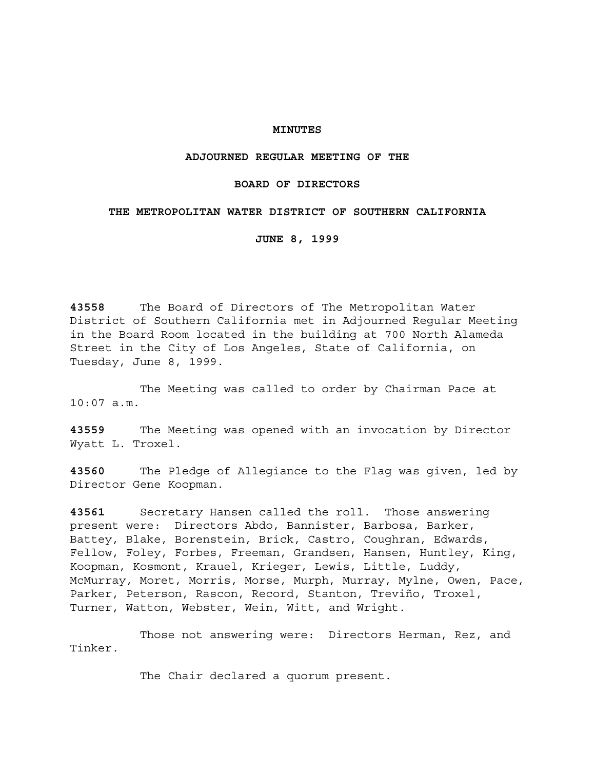### **MINUTES**

### **ADJOURNED REGULAR MEETING OF THE**

## **BOARD OF DIRECTORS**

## **THE METROPOLITAN WATER DISTRICT OF SOUTHERN CALIFORNIA**

**JUNE 8, 1999**

**43558** The Board of Directors of The Metropolitan Water District of Southern California met in Adjourned Regular Meeting in the Board Room located in the building at 700 North Alameda Street in the City of Los Angeles, State of California, on Tuesday, June 8, 1999.

The Meeting was called to order by Chairman Pace at 10:07 a.m.

**43559** The Meeting was opened with an invocation by Director Wyatt L. Troxel.

**43560** The Pledge of Allegiance to the Flag was given, led by Director Gene Koopman.

**43561** Secretary Hansen called the roll. Those answering present were: Directors Abdo, Bannister, Barbosa, Barker, Battey, Blake, Borenstein, Brick, Castro, Coughran, Edwards, Fellow, Foley, Forbes, Freeman, Grandsen, Hansen, Huntley, King, Koopman, Kosmont, Krauel, Krieger, Lewis, Little, Luddy, McMurray, Moret, Morris, Morse, Murph, Murray, Mylne, Owen, Pace, Parker, Peterson, Rascon, Record, Stanton, Treviño, Troxel, Turner, Watton, Webster, Wein, Witt, and Wright.

Those not answering were: Directors Herman, Rez, and Tinker.

The Chair declared a quorum present.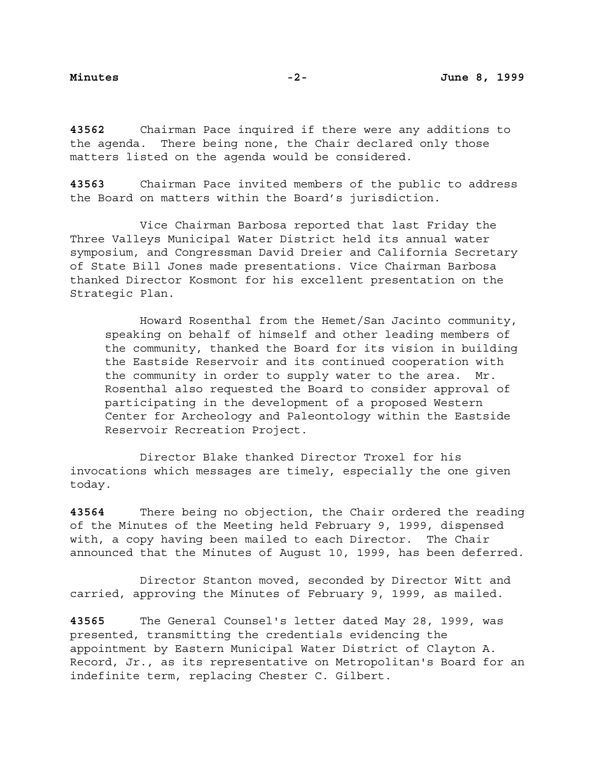**43562** Chairman Pace inquired if there were any additions to the agenda. There being none, the Chair declared only those matters listed on the agenda would be considered.

**43563** Chairman Pace invited members of the public to address the Board on matters within the Board's jurisdiction.

Vice Chairman Barbosa reported that last Friday the Three Valleys Municipal Water District held its annual water symposium, and Congressman David Dreier and California Secretary of State Bill Jones made presentations. Vice Chairman Barbosa thanked Director Kosmont for his excellent presentation on the Strategic Plan.

Howard Rosenthal from the Hemet/San Jacinto community, speaking on behalf of himself and other leading members of the community, thanked the Board for its vision in building the Eastside Reservoir and its continued cooperation with the community in order to supply water to the area. Mr. Rosenthal also requested the Board to consider approval of participating in the development of a proposed Western Center for Archeology and Paleontology within the Eastside Reservoir Recreation Project.

Director Blake thanked Director Troxel for his invocations which messages are timely, especially the one given today.

**43564** There being no objection, the Chair ordered the reading of the Minutes of the Meeting held February 9, 1999, dispensed with, a copy having been mailed to each Director. The Chair announced that the Minutes of August 10, 1999, has been deferred.

Director Stanton moved, seconded by Director Witt and carried, approving the Minutes of February 9, 1999, as mailed.

**43565** The General Counsel's letter dated May 28, 1999, was presented, transmitting the credentials evidencing the appointment by Eastern Municipal Water District of Clayton A. Record, Jr., as its representative on Metropolitan's Board for an indefinite term, replacing Chester C. Gilbert.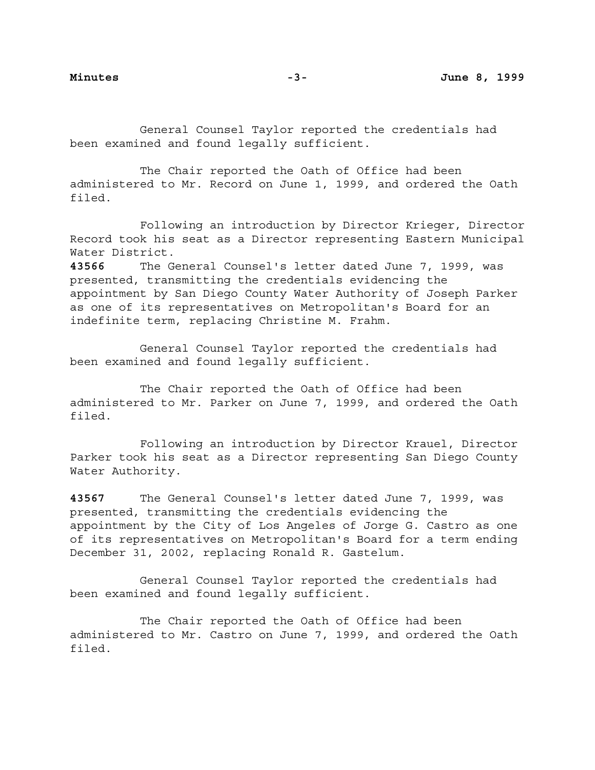General Counsel Taylor reported the credentials had been examined and found legally sufficient.

The Chair reported the Oath of Office had been administered to Mr. Record on June 1, 1999, and ordered the Oath filed.

Following an introduction by Director Krieger, Director Record took his seat as a Director representing Eastern Municipal Water District.

**43566** The General Counsel's letter dated June 7, 1999, was presented, transmitting the credentials evidencing the appointment by San Diego County Water Authority of Joseph Parker as one of its representatives on Metropolitan's Board for an indefinite term, replacing Christine M. Frahm.

General Counsel Taylor reported the credentials had been examined and found legally sufficient.

The Chair reported the Oath of Office had been administered to Mr. Parker on June 7, 1999, and ordered the Oath filed.

Following an introduction by Director Krauel, Director Parker took his seat as a Director representing San Diego County Water Authority.

**43567** The General Counsel's letter dated June 7, 1999, was presented, transmitting the credentials evidencing the appointment by the City of Los Angeles of Jorge G. Castro as one of its representatives on Metropolitan's Board for a term ending December 31, 2002, replacing Ronald R. Gastelum.

General Counsel Taylor reported the credentials had been examined and found legally sufficient.

The Chair reported the Oath of Office had been administered to Mr. Castro on June 7, 1999, and ordered the Oath filed.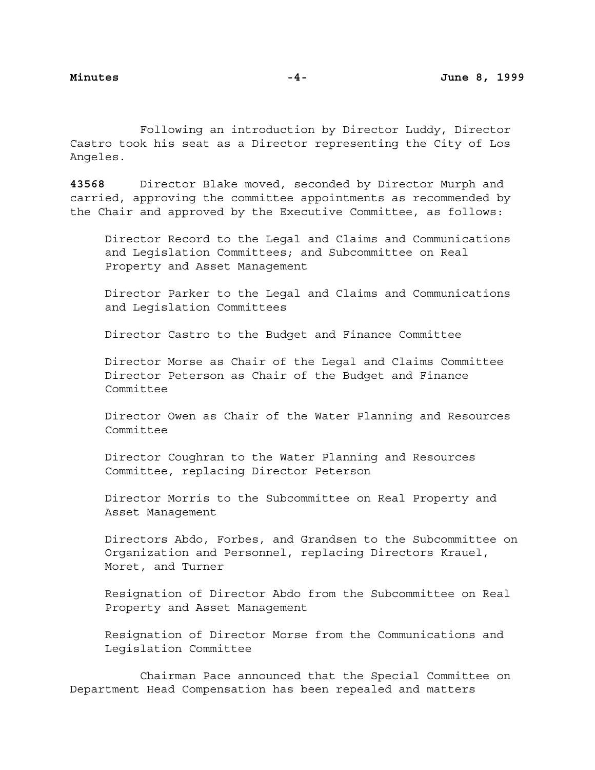Following an introduction by Director Luddy, Director Castro took his seat as a Director representing the City of Los Angeles.

**43568** Director Blake moved, seconded by Director Murph and carried, approving the committee appointments as recommended by the Chair and approved by the Executive Committee, as follows:

Director Record to the Legal and Claims and Communications and Legislation Committees; and Subcommittee on Real Property and Asset Management

Director Parker to the Legal and Claims and Communications and Legislation Committees

Director Castro to the Budget and Finance Committee

Director Morse as Chair of the Legal and Claims Committee Director Peterson as Chair of the Budget and Finance Committee

Director Owen as Chair of the Water Planning and Resources Committee

Director Coughran to the Water Planning and Resources Committee, replacing Director Peterson

Director Morris to the Subcommittee on Real Property and Asset Management

Directors Abdo, Forbes, and Grandsen to the Subcommittee on Organization and Personnel, replacing Directors Krauel, Moret, and Turner

Resignation of Director Abdo from the Subcommittee on Real Property and Asset Management

Resignation of Director Morse from the Communications and Legislation Committee

Chairman Pace announced that the Special Committee on Department Head Compensation has been repealed and matters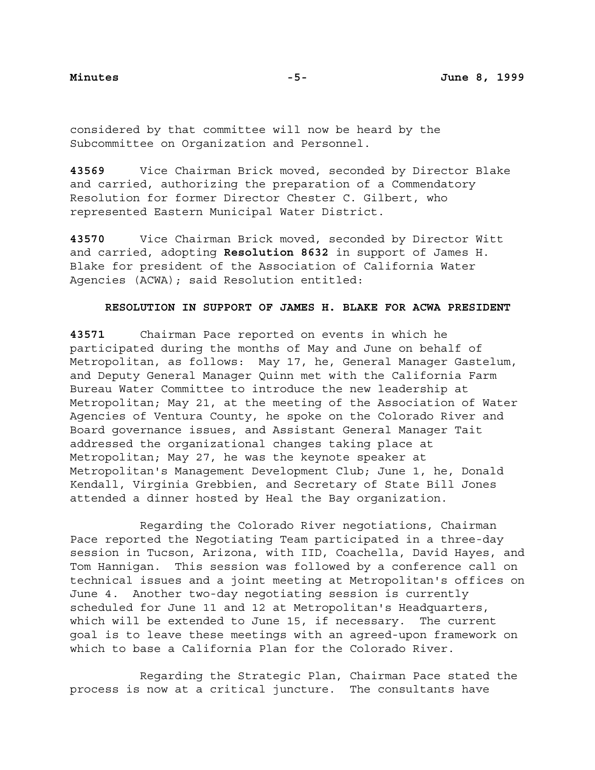considered by that committee will now be heard by the Subcommittee on Organization and Personnel.

**43569** Vice Chairman Brick moved, seconded by Director Blake and carried, authorizing the preparation of a Commendatory Resolution for former Director Chester C. Gilbert, who represented Eastern Municipal Water District.

**43570** Vice Chairman Brick moved, seconded by Director Witt and carried, adopting **Resolution 8632** in support of James H. Blake for president of the Association of California Water Agencies (ACWA); said Resolution entitled:

# **RESOLUTION IN SUPPORT OF JAMES H. BLAKE FOR ACWA PRESIDENT**

**43571** Chairman Pace reported on events in which he participated during the months of May and June on behalf of Metropolitan, as follows: May 17, he, General Manager Gastelum, and Deputy General Manager Quinn met with the California Farm Bureau Water Committee to introduce the new leadership at Metropolitan; May 21, at the meeting of the Association of Water Agencies of Ventura County, he spoke on the Colorado River and Board governance issues, and Assistant General Manager Tait addressed the organizational changes taking place at Metropolitan; May 27, he was the keynote speaker at Metropolitan's Management Development Club; June 1, he, Donald Kendall, Virginia Grebbien, and Secretary of State Bill Jones attended a dinner hosted by Heal the Bay organization.

Regarding the Colorado River negotiations, Chairman Pace reported the Negotiating Team participated in a three-day session in Tucson, Arizona, with IID, Coachella, David Hayes, and Tom Hannigan. This session was followed by a conference call on technical issues and a joint meeting at Metropolitan's offices on June 4. Another two-day negotiating session is currently scheduled for June 11 and 12 at Metropolitan's Headquarters, which will be extended to June 15, if necessary. The current goal is to leave these meetings with an agreed-upon framework on which to base a California Plan for the Colorado River.

Regarding the Strategic Plan, Chairman Pace stated the process is now at a critical juncture. The consultants have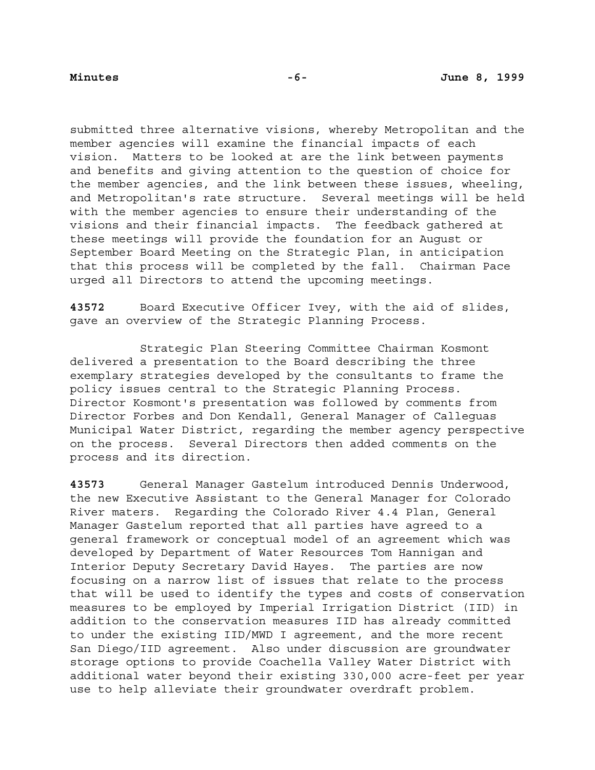submitted three alternative visions, whereby Metropolitan and the member agencies will examine the financial impacts of each vision. Matters to be looked at are the link between payments and benefits and giving attention to the question of choice for the member agencies, and the link between these issues, wheeling, and Metropolitan's rate structure. Several meetings will be held with the member agencies to ensure their understanding of the visions and their financial impacts. The feedback gathered at these meetings will provide the foundation for an August or September Board Meeting on the Strategic Plan, in anticipation that this process will be completed by the fall. Chairman Pace urged all Directors to attend the upcoming meetings.

**43572** Board Executive Officer Ivey, with the aid of slides, gave an overview of the Strategic Planning Process.

Strategic Plan Steering Committee Chairman Kosmont delivered a presentation to the Board describing the three exemplary strategies developed by the consultants to frame the policy issues central to the Strategic Planning Process. Director Kosmont's presentation was followed by comments from Director Forbes and Don Kendall, General Manager of Calleguas Municipal Water District, regarding the member agency perspective on the process. Several Directors then added comments on the process and its direction.

**43573** General Manager Gastelum introduced Dennis Underwood, the new Executive Assistant to the General Manager for Colorado River maters. Regarding the Colorado River 4.4 Plan, General Manager Gastelum reported that all parties have agreed to a general framework or conceptual model of an agreement which was developed by Department of Water Resources Tom Hannigan and Interior Deputy Secretary David Hayes. The parties are now focusing on a narrow list of issues that relate to the process that will be used to identify the types and costs of conservation measures to be employed by Imperial Irrigation District (IID) in addition to the conservation measures IID has already committed to under the existing IID/MWD I agreement, and the more recent San Diego/IID agreement. Also under discussion are groundwater storage options to provide Coachella Valley Water District with additional water beyond their existing 330,000 acre-feet per year use to help alleviate their groundwater overdraft problem.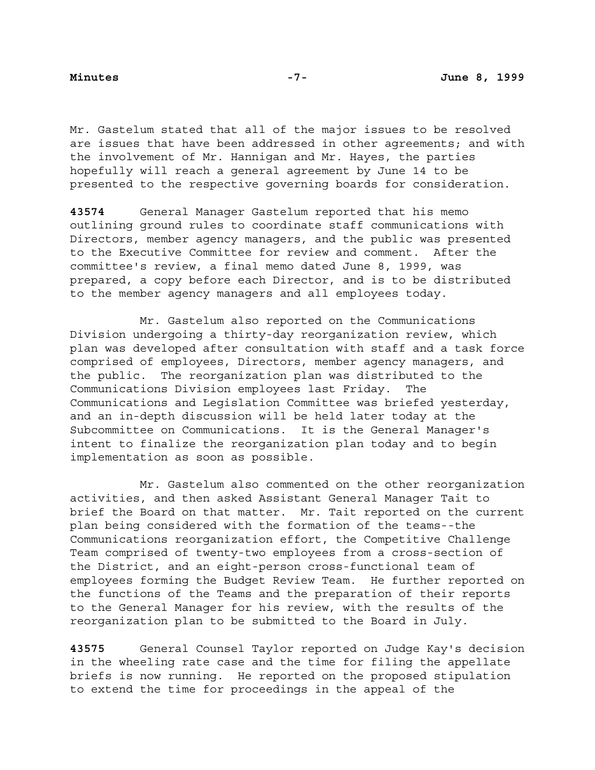Mr. Gastelum stated that all of the major issues to be resolved are issues that have been addressed in other agreements; and with the involvement of Mr. Hannigan and Mr. Hayes, the parties hopefully will reach a general agreement by June 14 to be presented to the respective governing boards for consideration.

**43574** General Manager Gastelum reported that his memo outlining ground rules to coordinate staff communications with Directors, member agency managers, and the public was presented to the Executive Committee for review and comment. After the committee's review, a final memo dated June 8, 1999, was prepared, a copy before each Director, and is to be distributed to the member agency managers and all employees today.

Mr. Gastelum also reported on the Communications Division undergoing a thirty-day reorganization review, which plan was developed after consultation with staff and a task force comprised of employees, Directors, member agency managers, and the public. The reorganization plan was distributed to the Communications Division employees last Friday. The Communications and Legislation Committee was briefed yesterday, and an in-depth discussion will be held later today at the Subcommittee on Communications. It is the General Manager's intent to finalize the reorganization plan today and to begin implementation as soon as possible.

Mr. Gastelum also commented on the other reorganization activities, and then asked Assistant General Manager Tait to brief the Board on that matter. Mr. Tait reported on the current plan being considered with the formation of the teams--the Communications reorganization effort, the Competitive Challenge Team comprised of twenty-two employees from a cross-section of the District, and an eight-person cross-functional team of employees forming the Budget Review Team. He further reported on the functions of the Teams and the preparation of their reports to the General Manager for his review, with the results of the reorganization plan to be submitted to the Board in July.

**43575** General Counsel Taylor reported on Judge Kay's decision in the wheeling rate case and the time for filing the appellate briefs is now running. He reported on the proposed stipulation to extend the time for proceedings in the appeal of the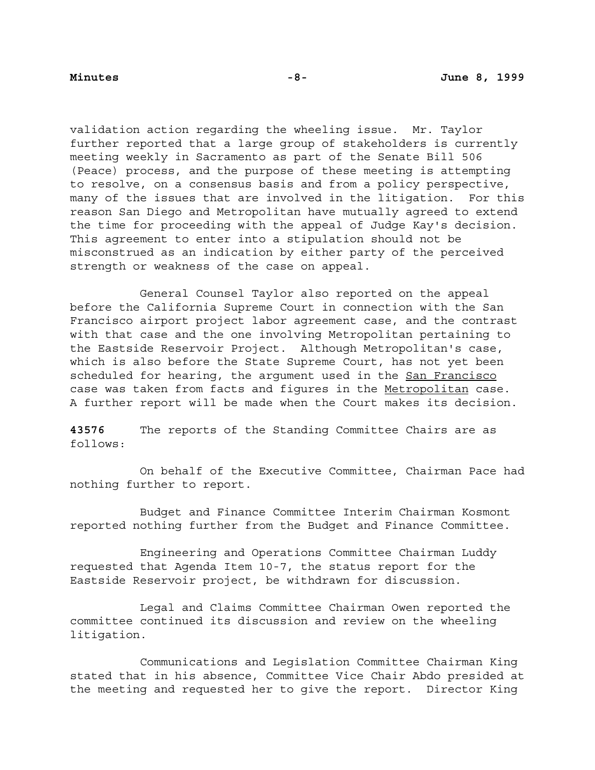validation action regarding the wheeling issue. Mr. Taylor further reported that a large group of stakeholders is currently meeting weekly in Sacramento as part of the Senate Bill 506 (Peace) process, and the purpose of these meeting is attempting to resolve, on a consensus basis and from a policy perspective, many of the issues that are involved in the litigation. For this reason San Diego and Metropolitan have mutually agreed to extend the time for proceeding with the appeal of Judge Kay's decision. This agreement to enter into a stipulation should not be misconstrued as an indication by either party of the perceived strength or weakness of the case on appeal.

General Counsel Taylor also reported on the appeal before the California Supreme Court in connection with the San Francisco airport project labor agreement case, and the contrast with that case and the one involving Metropolitan pertaining to the Eastside Reservoir Project. Although Metropolitan's case, which is also before the State Supreme Court, has not yet been scheduled for hearing, the argument used in the San Francisco case was taken from facts and figures in the Metropolitan case. A further report will be made when the Court makes its decision.

**43576** The reports of the Standing Committee Chairs are as follows:

On behalf of the Executive Committee, Chairman Pace had nothing further to report.

Budget and Finance Committee Interim Chairman Kosmont reported nothing further from the Budget and Finance Committee.

Engineering and Operations Committee Chairman Luddy requested that Agenda Item 10-7, the status report for the Eastside Reservoir project, be withdrawn for discussion.

Legal and Claims Committee Chairman Owen reported the committee continued its discussion and review on the wheeling litigation.

Communications and Legislation Committee Chairman King stated that in his absence, Committee Vice Chair Abdo presided at the meeting and requested her to give the report. Director King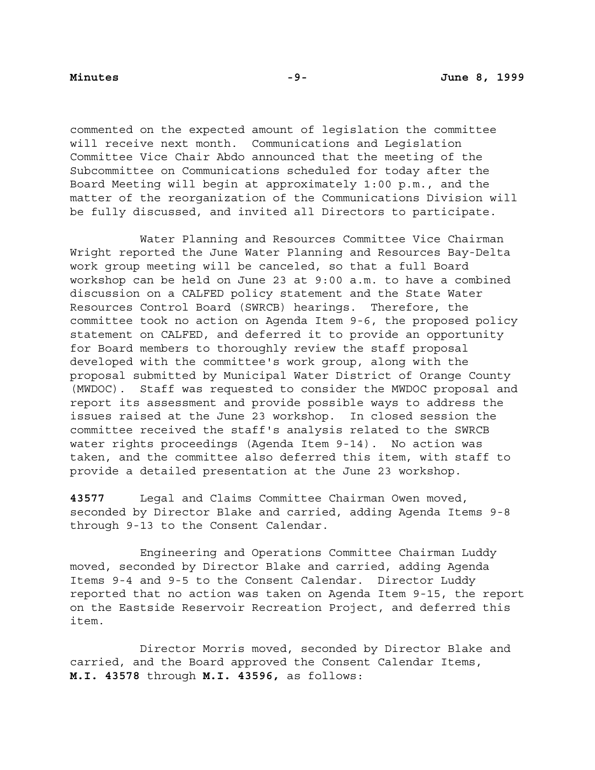commented on the expected amount of legislation the committee will receive next month. Communications and Legislation Committee Vice Chair Abdo announced that the meeting of the Subcommittee on Communications scheduled for today after the Board Meeting will begin at approximately 1:00 p.m., and the matter of the reorganization of the Communications Division will be fully discussed, and invited all Directors to participate.

Water Planning and Resources Committee Vice Chairman Wright reported the June Water Planning and Resources Bay-Delta work group meeting will be canceled, so that a full Board workshop can be held on June 23 at 9:00 a.m. to have a combined discussion on a CALFED policy statement and the State Water Resources Control Board (SWRCB) hearings. Therefore, the committee took no action on Agenda Item 9-6, the proposed policy statement on CALFED, and deferred it to provide an opportunity for Board members to thoroughly review the staff proposal developed with the committee's work group, along with the proposal submitted by Municipal Water District of Orange County (MWDOC). Staff was requested to consider the MWDOC proposal and report its assessment and provide possible ways to address the issues raised at the June 23 workshop. In closed session the committee received the staff's analysis related to the SWRCB water rights proceedings (Agenda Item 9-14). No action was taken, and the committee also deferred this item, with staff to provide a detailed presentation at the June 23 workshop.

**43577** Legal and Claims Committee Chairman Owen moved, seconded by Director Blake and carried, adding Agenda Items 9-8 through 9-13 to the Consent Calendar.

Engineering and Operations Committee Chairman Luddy moved, seconded by Director Blake and carried, adding Agenda Items 9-4 and 9-5 to the Consent Calendar. Director Luddy reported that no action was taken on Agenda Item 9-15, the report on the Eastside Reservoir Recreation Project, and deferred this item.

Director Morris moved, seconded by Director Blake and carried, and the Board approved the Consent Calendar Items, **M.I. 43578** through **M.I. 43596,** as follows: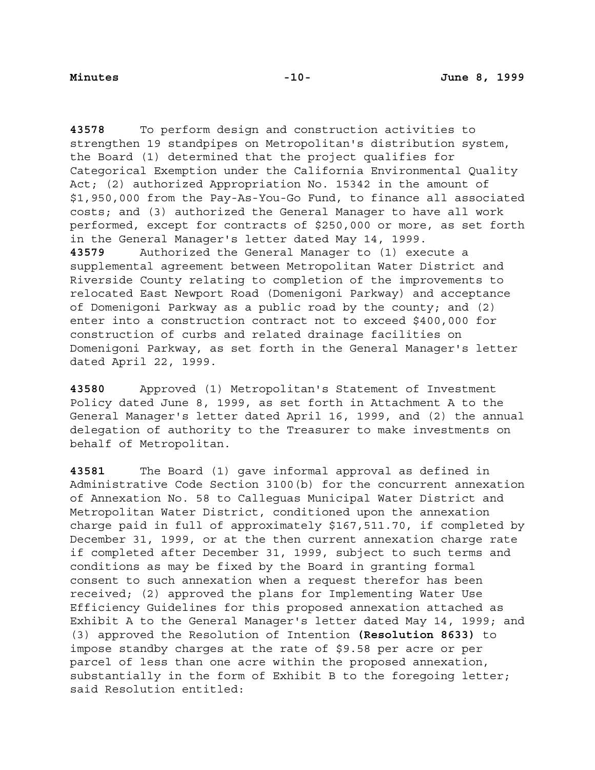**43578** To perform design and construction activities to strengthen 19 standpipes on Metropolitan's distribution system, the Board (1) determined that the project qualifies for Categorical Exemption under the California Environmental Quality Act; (2) authorized Appropriation No. 15342 in the amount of \$1,950,000 from the Pay-As-You-Go Fund, to finance all associated costs; and (3) authorized the General Manager to have all work performed, except for contracts of \$250,000 or more, as set forth in the General Manager's letter dated May 14, 1999. **43579** Authorized the General Manager to (1) execute a supplemental agreement between Metropolitan Water District and Riverside County relating to completion of the improvements to relocated East Newport Road (Domenigoni Parkway) and acceptance of Domenigoni Parkway as a public road by the county; and (2) enter into a construction contract not to exceed \$400,000 for construction of curbs and related drainage facilities on Domenigoni Parkway, as set forth in the General Manager's letter dated April 22, 1999.

**43580** Approved (1) Metropolitan's Statement of Investment Policy dated June 8, 1999, as set forth in Attachment A to the General Manager's letter dated April 16, 1999, and (2) the annual delegation of authority to the Treasurer to make investments on behalf of Metropolitan.

**43581** The Board (1) gave informal approval as defined in Administrative Code Section 3100(b) for the concurrent annexation of Annexation No. 58 to Calleguas Municipal Water District and Metropolitan Water District, conditioned upon the annexation charge paid in full of approximately \$167,511.70, if completed by December 31, 1999, or at the then current annexation charge rate if completed after December 31, 1999, subject to such terms and conditions as may be fixed by the Board in granting formal consent to such annexation when a request therefor has been received; (2) approved the plans for Implementing Water Use Efficiency Guidelines for this proposed annexation attached as Exhibit A to the General Manager's letter dated May 14, 1999; and (3) approved the Resolution of Intention **(Resolution 8633)** to impose standby charges at the rate of \$9.58 per acre or per parcel of less than one acre within the proposed annexation, substantially in the form of Exhibit B to the foregoing letter; said Resolution entitled: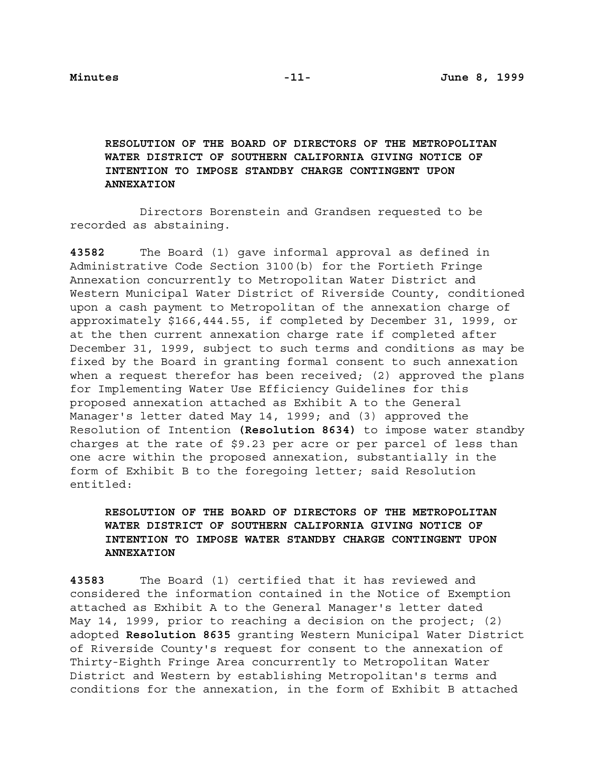# **RESOLUTION OF THE BOARD OF DIRECTORS OF THE METROPOLITAN WATER DISTRICT OF SOUTHERN CALIFORNIA GIVING NOTICE OF INTENTION TO IMPOSE STANDBY CHARGE CONTINGENT UPON ANNEXATION**

Directors Borenstein and Grandsen requested to be recorded as abstaining.

**43582** The Board (1) gave informal approval as defined in Administrative Code Section 3100(b) for the Fortieth Fringe Annexation concurrently to Metropolitan Water District and Western Municipal Water District of Riverside County, conditioned upon a cash payment to Metropolitan of the annexation charge of approximately \$166,444.55, if completed by December 31, 1999, or at the then current annexation charge rate if completed after December 31, 1999, subject to such terms and conditions as may be fixed by the Board in granting formal consent to such annexation when a request therefor has been received; (2) approved the plans for Implementing Water Use Efficiency Guidelines for this proposed annexation attached as Exhibit A to the General Manager's letter dated May 14, 1999; and (3) approved the Resolution of Intention **(Resolution 8634)** to impose water standby charges at the rate of \$9.23 per acre or per parcel of less than one acre within the proposed annexation, substantially in the form of Exhibit B to the foregoing letter; said Resolution entitled:

# **RESOLUTION OF THE BOARD OF DIRECTORS OF THE METROPOLITAN WATER DISTRICT OF SOUTHERN CALIFORNIA GIVING NOTICE OF INTENTION TO IMPOSE WATER STANDBY CHARGE CONTINGENT UPON ANNEXATION**

**43583** The Board (1) certified that it has reviewed and considered the information contained in the Notice of Exemption attached as Exhibit A to the General Manager's letter dated May 14, 1999, prior to reaching a decision on the project; (2) adopted **Resolution 8635** granting Western Municipal Water District of Riverside County's request for consent to the annexation of Thirty-Eighth Fringe Area concurrently to Metropolitan Water District and Western by establishing Metropolitan's terms and conditions for the annexation, in the form of Exhibit B attached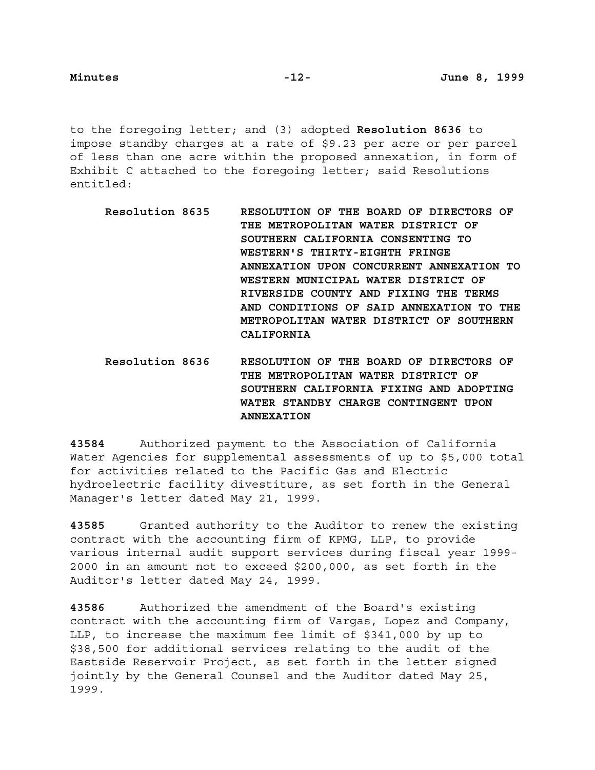to the foregoing letter; and (3) adopted **Resolution 8636** to impose standby charges at a rate of \$9.23 per acre or per parcel of less than one acre within the proposed annexation, in form of Exhibit C attached to the foregoing letter; said Resolutions entitled:

- **Resolution 8635 RESOLUTION OF THE BOARD OF DIRECTORS OF THE METROPOLITAN WATER DISTRICT OF SOUTHERN CALIFORNIA CONSENTING TO WESTERN'S THIRTY-EIGHTH FRINGE ANNEXATION UPON CONCURRENT ANNEXATION TO WESTERN MUNICIPAL WATER DISTRICT OF RIVERSIDE COUNTY AND FIXING THE TERMS AND CONDITIONS OF SAID ANNEXATION TO THE METROPOLITAN WATER DISTRICT OF SOUTHERN CALIFORNIA**
- **Resolution 8636 RESOLUTION OF THE BOARD OF DIRECTORS OF THE METROPOLITAN WATER DISTRICT OF SOUTHERN CALIFORNIA FIXING AND ADOPTING WATER STANDBY CHARGE CONTINGENT UPON ANNEXATION**

**43584** Authorized payment to the Association of California Water Agencies for supplemental assessments of up to \$5,000 total for activities related to the Pacific Gas and Electric hydroelectric facility divestiture, as set forth in the General Manager's letter dated May 21, 1999.

**43585** Granted authority to the Auditor to renew the existing contract with the accounting firm of KPMG, LLP, to provide various internal audit support services during fiscal year 1999- 2000 in an amount not to exceed \$200,000, as set forth in the Auditor's letter dated May 24, 1999.

**43586** Authorized the amendment of the Board's existing contract with the accounting firm of Vargas, Lopez and Company, LLP, to increase the maximum fee limit of \$341,000 by up to \$38,500 for additional services relating to the audit of the Eastside Reservoir Project, as set forth in the letter signed jointly by the General Counsel and the Auditor dated May 25, 1999.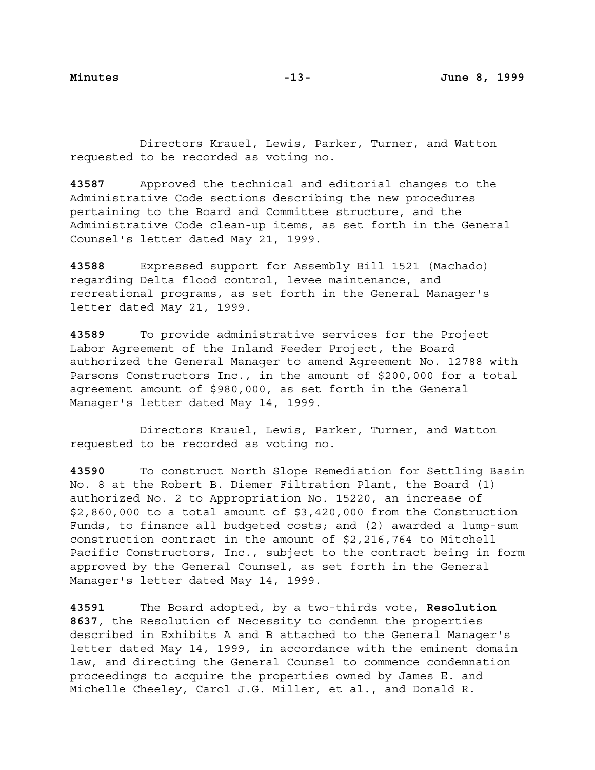Directors Krauel, Lewis, Parker, Turner, and Watton requested to be recorded as voting no.

**43587** Approved the technical and editorial changes to the Administrative Code sections describing the new procedures pertaining to the Board and Committee structure, and the Administrative Code clean-up items, as set forth in the General Counsel's letter dated May 21, 1999.

**43588** Expressed support for Assembly Bill 1521 (Machado) regarding Delta flood control, levee maintenance, and recreational programs, as set forth in the General Manager's letter dated May 21, 1999.

**43589** To provide administrative services for the Project Labor Agreement of the Inland Feeder Project, the Board authorized the General Manager to amend Agreement No. 12788 with Parsons Constructors Inc., in the amount of \$200,000 for a total agreement amount of \$980,000, as set forth in the General Manager's letter dated May 14, 1999.

Directors Krauel, Lewis, Parker, Turner, and Watton requested to be recorded as voting no.

**43590** To construct North Slope Remediation for Settling Basin No. 8 at the Robert B. Diemer Filtration Plant, the Board (1) authorized No. 2 to Appropriation No. 15220, an increase of \$2,860,000 to a total amount of \$3,420,000 from the Construction Funds, to finance all budgeted costs; and (2) awarded a lump-sum construction contract in the amount of \$2,216,764 to Mitchell Pacific Constructors, Inc., subject to the contract being in form approved by the General Counsel, as set forth in the General Manager's letter dated May 14, 1999.

**43591** The Board adopted, by a two-thirds vote, **Resolution 8637**, the Resolution of Necessity to condemn the properties described in Exhibits A and B attached to the General Manager's letter dated May 14, 1999, in accordance with the eminent domain law, and directing the General Counsel to commence condemnation proceedings to acquire the properties owned by James E. and Michelle Cheeley, Carol J.G. Miller, et al., and Donald R.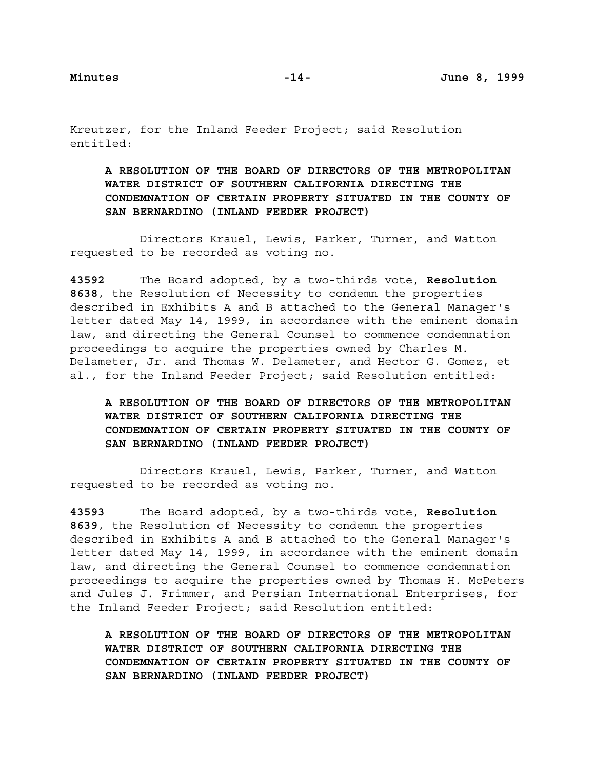Kreutzer, for the Inland Feeder Project; said Resolution entitled:

**A RESOLUTION OF THE BOARD OF DIRECTORS OF THE METROPOLITAN WATER DISTRICT OF SOUTHERN CALIFORNIA DIRECTING THE CONDEMNATION OF CERTAIN PROPERTY SITUATED IN THE COUNTY OF SAN BERNARDINO (INLAND FEEDER PROJECT)**

Directors Krauel, Lewis, Parker, Turner, and Watton requested to be recorded as voting no.

**43592** The Board adopted, by a two-thirds vote, **Resolution 8638**, the Resolution of Necessity to condemn the properties described in Exhibits A and B attached to the General Manager's letter dated May 14, 1999, in accordance with the eminent domain law, and directing the General Counsel to commence condemnation proceedings to acquire the properties owned by Charles M. Delameter, Jr. and Thomas W. Delameter, and Hector G. Gomez, et al., for the Inland Feeder Project; said Resolution entitled:

**A RESOLUTION OF THE BOARD OF DIRECTORS OF THE METROPOLITAN WATER DISTRICT OF SOUTHERN CALIFORNIA DIRECTING THE CONDEMNATION OF CERTAIN PROPERTY SITUATED IN THE COUNTY OF SAN BERNARDINO (INLAND FEEDER PROJECT)**

Directors Krauel, Lewis, Parker, Turner, and Watton requested to be recorded as voting no.

**43593** The Board adopted, by a two-thirds vote, **Resolution 8639**, the Resolution of Necessity to condemn the properties described in Exhibits A and B attached to the General Manager's letter dated May 14, 1999, in accordance with the eminent domain law, and directing the General Counsel to commence condemnation proceedings to acquire the properties owned by Thomas H. McPeters and Jules J. Frimmer, and Persian International Enterprises, for the Inland Feeder Project; said Resolution entitled:

**A RESOLUTION OF THE BOARD OF DIRECTORS OF THE METROPOLITAN WATER DISTRICT OF SOUTHERN CALIFORNIA DIRECTING THE CONDEMNATION OF CERTAIN PROPERTY SITUATED IN THE COUNTY OF SAN BERNARDINO (INLAND FEEDER PROJECT)**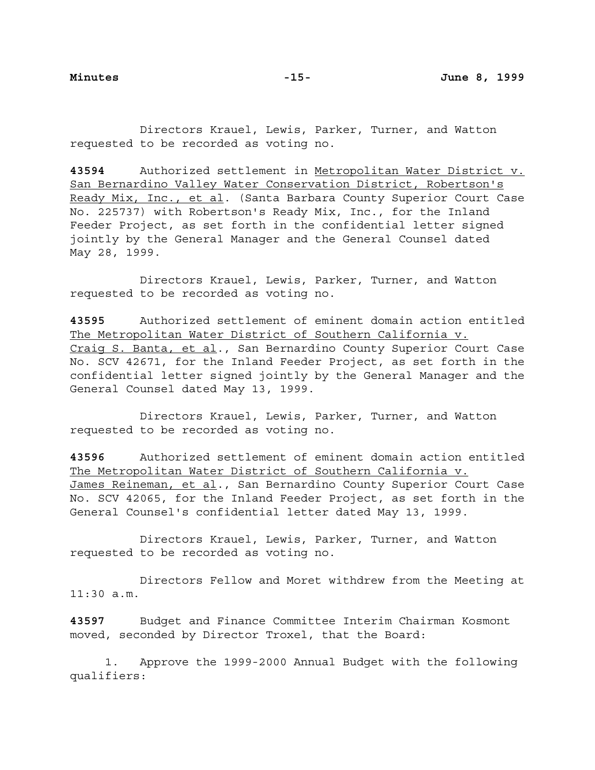Directors Krauel, Lewis, Parker, Turner, and Watton requested to be recorded as voting no.

**43594** Authorized settlement in Metropolitan Water District v. San Bernardino Valley Water Conservation District, Robertson's Ready Mix, Inc., et al. (Santa Barbara County Superior Court Case No. 225737) with Robertson's Ready Mix, Inc., for the Inland Feeder Project, as set forth in the confidential letter signed jointly by the General Manager and the General Counsel dated May 28, 1999.

Directors Krauel, Lewis, Parker, Turner, and Watton requested to be recorded as voting no.

**43595** Authorized settlement of eminent domain action entitled The Metropolitan Water District of Southern California v. Craig S. Banta, et al., San Bernardino County Superior Court Case No. SCV 42671, for the Inland Feeder Project, as set forth in the confidential letter signed jointly by the General Manager and the General Counsel dated May 13, 1999.

Directors Krauel, Lewis, Parker, Turner, and Watton requested to be recorded as voting no.

**43596** Authorized settlement of eminent domain action entitled The Metropolitan Water District of Southern California v. James Reineman, et al., San Bernardino County Superior Court Case No. SCV 42065, for the Inland Feeder Project, as set forth in the General Counsel's confidential letter dated May 13, 1999.

Directors Krauel, Lewis, Parker, Turner, and Watton requested to be recorded as voting no.

Directors Fellow and Moret withdrew from the Meeting at 11:30 a.m.

**43597** Budget and Finance Committee Interim Chairman Kosmont moved, seconded by Director Troxel, that the Board:

1. Approve the 1999-2000 Annual Budget with the following qualifiers: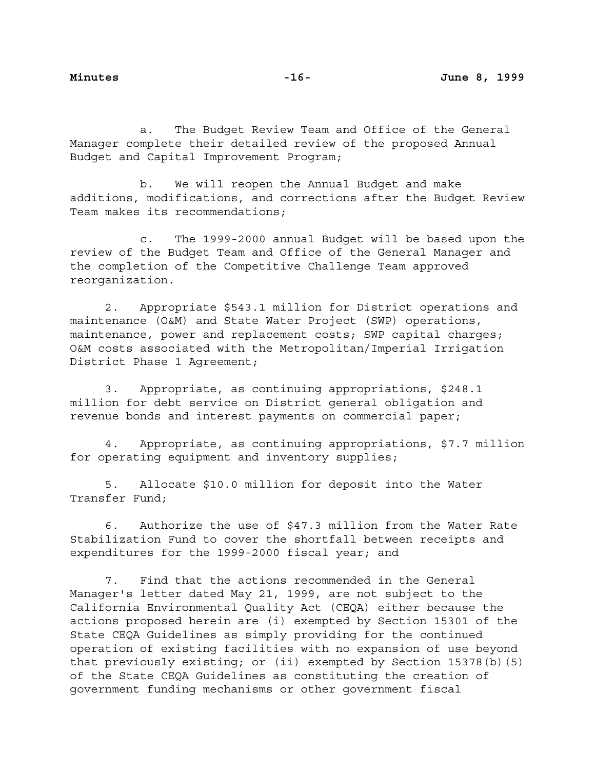a. The Budget Review Team and Office of the General Manager complete their detailed review of the proposed Annual Budget and Capital Improvement Program;

b. We will reopen the Annual Budget and make additions, modifications, and corrections after the Budget Review Team makes its recommendations;

c. The 1999-2000 annual Budget will be based upon the review of the Budget Team and Office of the General Manager and the completion of the Competitive Challenge Team approved reorganization.

2. Appropriate \$543.1 million for District operations and maintenance (O&M) and State Water Project (SWP) operations, maintenance, power and replacement costs; SWP capital charges; O&M costs associated with the Metropolitan/Imperial Irrigation District Phase 1 Agreement;

3. Appropriate, as continuing appropriations, \$248.1 million for debt service on District general obligation and revenue bonds and interest payments on commercial paper;

4. Appropriate, as continuing appropriations, \$7.7 million for operating equipment and inventory supplies;

5. Allocate \$10.0 million for deposit into the Water Transfer Fund;

6. Authorize the use of \$47.3 million from the Water Rate Stabilization Fund to cover the shortfall between receipts and expenditures for the 1999-2000 fiscal year; and

7. Find that the actions recommended in the General Manager's letter dated May 21, 1999, are not subject to the California Environmental Quality Act (CEQA) either because the actions proposed herein are (i) exempted by Section 15301 of the State CEQA Guidelines as simply providing for the continued operation of existing facilities with no expansion of use beyond that previously existing; or (ii) exempted by Section 15378(b)(5) of the State CEQA Guidelines as constituting the creation of government funding mechanisms or other government fiscal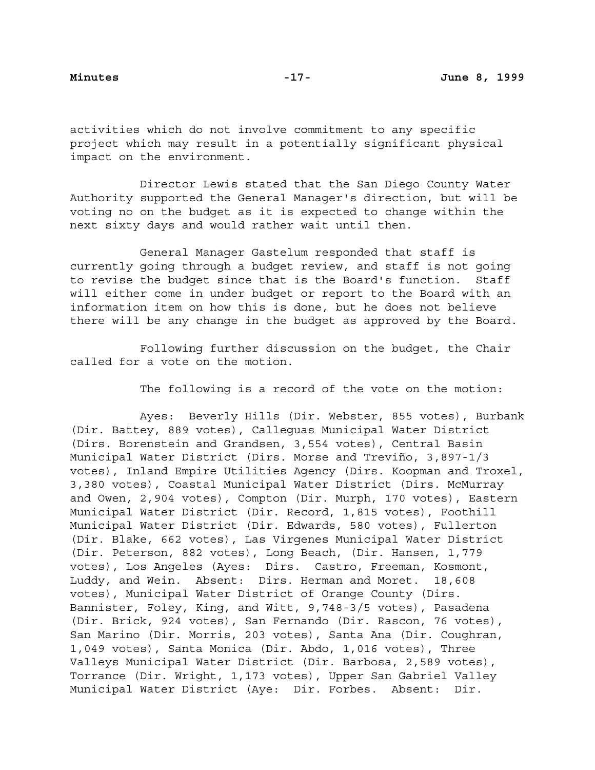activities which do not involve commitment to any specific project which may result in a potentially significant physical impact on the environment.

Director Lewis stated that the San Diego County Water Authority supported the General Manager's direction, but will be voting no on the budget as it is expected to change within the next sixty days and would rather wait until then.

General Manager Gastelum responded that staff is currently going through a budget review, and staff is not going to revise the budget since that is the Board's function. Staff will either come in under budget or report to the Board with an information item on how this is done, but he does not believe there will be any change in the budget as approved by the Board.

Following further discussion on the budget, the Chair called for a vote on the motion.

The following is a record of the vote on the motion:

Ayes: Beverly Hills (Dir. Webster, 855 votes), Burbank (Dir. Battey, 889 votes), Calleguas Municipal Water District (Dirs. Borenstein and Grandsen, 3,554 votes), Central Basin Municipal Water District (Dirs. Morse and Treviño, 3,897-1/3 votes), Inland Empire Utilities Agency (Dirs. Koopman and Troxel, 3,380 votes), Coastal Municipal Water District (Dirs. McMurray and Owen, 2,904 votes), Compton (Dir. Murph, 170 votes), Eastern Municipal Water District (Dir. Record, 1,815 votes), Foothill Municipal Water District (Dir. Edwards, 580 votes), Fullerton (Dir. Blake, 662 votes), Las Virgenes Municipal Water District (Dir. Peterson, 882 votes), Long Beach, (Dir. Hansen, 1,779 votes), Los Angeles (Ayes: Dirs. Castro, Freeman, Kosmont, Luddy, and Wein. Absent: Dirs. Herman and Moret. 18,608 votes), Municipal Water District of Orange County (Dirs. Bannister, Foley, King, and Witt, 9,748-3/5 votes), Pasadena (Dir. Brick, 924 votes), San Fernando (Dir. Rascon, 76 votes), San Marino (Dir. Morris, 203 votes), Santa Ana (Dir. Coughran, 1,049 votes), Santa Monica (Dir. Abdo, 1,016 votes), Three Valleys Municipal Water District (Dir. Barbosa, 2,589 votes), Torrance (Dir. Wright, 1,173 votes), Upper San Gabriel Valley Municipal Water District (Aye: Dir. Forbes. Absent: Dir.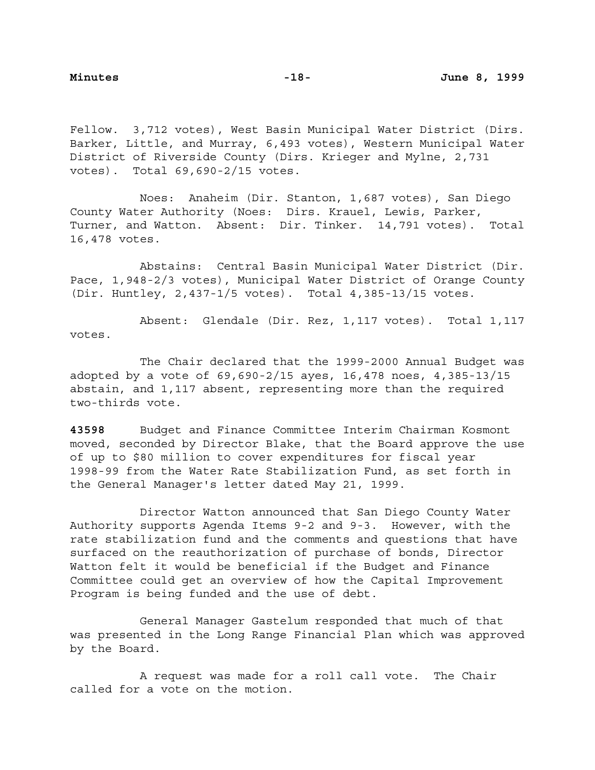Fellow. 3,712 votes), West Basin Municipal Water District (Dirs. Barker, Little, and Murray, 6,493 votes), Western Municipal Water District of Riverside County (Dirs. Krieger and Mylne, 2,731 votes). Total 69,690-2/15 votes.

Noes: Anaheim (Dir. Stanton, 1,687 votes), San Diego County Water Authority (Noes: Dirs. Krauel, Lewis, Parker, Turner, and Watton. Absent: Dir. Tinker. 14,791 votes). Total 16,478 votes.

Abstains: Central Basin Municipal Water District (Dir. Pace, 1,948-2/3 votes), Municipal Water District of Orange County (Dir. Huntley, 2,437-1/5 votes). Total 4,385-13/15 votes.

Absent: Glendale (Dir. Rez, 1,117 votes). Total 1,117 votes.

The Chair declared that the 1999-2000 Annual Budget was adopted by a vote of 69,690-2/15 ayes, 16,478 noes, 4,385-13/15 abstain, and 1,117 absent, representing more than the required two-thirds vote.

**43598** Budget and Finance Committee Interim Chairman Kosmont moved, seconded by Director Blake, that the Board approve the use of up to \$80 million to cover expenditures for fiscal year 1998-99 from the Water Rate Stabilization Fund, as set forth in the General Manager's letter dated May 21, 1999.

Director Watton announced that San Diego County Water Authority supports Agenda Items 9-2 and 9-3. However, with the rate stabilization fund and the comments and questions that have surfaced on the reauthorization of purchase of bonds, Director Watton felt it would be beneficial if the Budget and Finance Committee could get an overview of how the Capital Improvement Program is being funded and the use of debt.

General Manager Gastelum responded that much of that was presented in the Long Range Financial Plan which was approved by the Board.

A request was made for a roll call vote. The Chair called for a vote on the motion.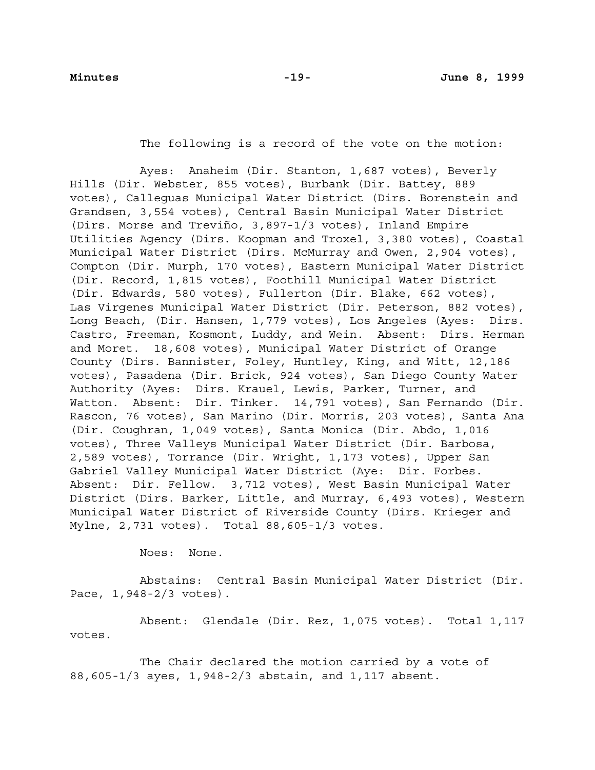The following is a record of the vote on the motion:

Ayes: Anaheim (Dir. Stanton, 1,687 votes), Beverly Hills (Dir. Webster, 855 votes), Burbank (Dir. Battey, 889 votes), Calleguas Municipal Water District (Dirs. Borenstein and Grandsen, 3,554 votes), Central Basin Municipal Water District (Dirs. Morse and Treviño, 3,897-1/3 votes), Inland Empire Utilities Agency (Dirs. Koopman and Troxel, 3,380 votes), Coastal Municipal Water District (Dirs. McMurray and Owen, 2,904 votes), Compton (Dir. Murph, 170 votes), Eastern Municipal Water District (Dir. Record, 1,815 votes), Foothill Municipal Water District (Dir. Edwards, 580 votes), Fullerton (Dir. Blake, 662 votes), Las Virgenes Municipal Water District (Dir. Peterson, 882 votes), Long Beach, (Dir. Hansen, 1,779 votes), Los Angeles (Ayes: Dirs. Castro, Freeman, Kosmont, Luddy, and Wein. Absent: Dirs. Herman and Moret. 18,608 votes), Municipal Water District of Orange County (Dirs. Bannister, Foley, Huntley, King, and Witt, 12,186 votes), Pasadena (Dir. Brick, 924 votes), San Diego County Water Authority (Ayes: Dirs. Krauel, Lewis, Parker, Turner, and Watton. Absent: Dir. Tinker. 14,791 votes), San Fernando (Dir. Rascon, 76 votes), San Marino (Dir. Morris, 203 votes), Santa Ana (Dir. Coughran, 1,049 votes), Santa Monica (Dir. Abdo, 1,016 votes), Three Valleys Municipal Water District (Dir. Barbosa, 2,589 votes), Torrance (Dir. Wright, 1,173 votes), Upper San Gabriel Valley Municipal Water District (Aye: Dir. Forbes. Absent: Dir. Fellow. 3,712 votes), West Basin Municipal Water District (Dirs. Barker, Little, and Murray, 6,493 votes), Western Municipal Water District of Riverside County (Dirs. Krieger and Mylne, 2,731 votes). Total 88,605-1/3 votes.

Noes: None.

Abstains: Central Basin Municipal Water District (Dir. Pace, 1,948-2/3 votes).

Absent: Glendale (Dir. Rez, 1,075 votes). Total 1,117 votes.

The Chair declared the motion carried by a vote of 88,605-1/3 ayes, 1,948-2/3 abstain, and 1,117 absent.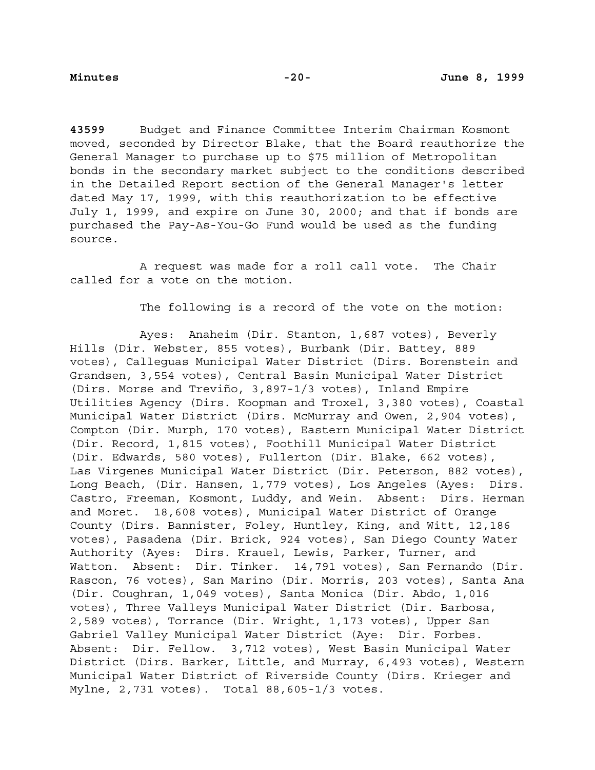**43599** Budget and Finance Committee Interim Chairman Kosmont moved, seconded by Director Blake, that the Board reauthorize the General Manager to purchase up to \$75 million of Metropolitan bonds in the secondary market subject to the conditions described in the Detailed Report section of the General Manager's letter dated May 17, 1999, with this reauthorization to be effective July 1, 1999, and expire on June 30, 2000; and that if bonds are purchased the Pay-As-You-Go Fund would be used as the funding source.

A request was made for a roll call vote. The Chair called for a vote on the motion.

The following is a record of the vote on the motion:

Ayes: Anaheim (Dir. Stanton, 1,687 votes), Beverly Hills (Dir. Webster, 855 votes), Burbank (Dir. Battey, 889 votes), Calleguas Municipal Water District (Dirs. Borenstein and Grandsen, 3,554 votes), Central Basin Municipal Water District (Dirs. Morse and Treviño, 3,897-1/3 votes), Inland Empire Utilities Agency (Dirs. Koopman and Troxel, 3,380 votes), Coastal Municipal Water District (Dirs. McMurray and Owen, 2,904 votes), Compton (Dir. Murph, 170 votes), Eastern Municipal Water District (Dir. Record, 1,815 votes), Foothill Municipal Water District (Dir. Edwards, 580 votes), Fullerton (Dir. Blake, 662 votes), Las Virgenes Municipal Water District (Dir. Peterson, 882 votes), Long Beach, (Dir. Hansen, 1,779 votes), Los Angeles (Ayes: Dirs. Castro, Freeman, Kosmont, Luddy, and Wein. Absent: Dirs. Herman and Moret. 18,608 votes), Municipal Water District of Orange County (Dirs. Bannister, Foley, Huntley, King, and Witt, 12,186 votes), Pasadena (Dir. Brick, 924 votes), San Diego County Water Authority (Ayes: Dirs. Krauel, Lewis, Parker, Turner, and Watton. Absent: Dir. Tinker. 14,791 votes), San Fernando (Dir. Rascon, 76 votes), San Marino (Dir. Morris, 203 votes), Santa Ana (Dir. Coughran, 1,049 votes), Santa Monica (Dir. Abdo, 1,016 votes), Three Valleys Municipal Water District (Dir. Barbosa, 2,589 votes), Torrance (Dir. Wright, 1,173 votes), Upper San Gabriel Valley Municipal Water District (Aye: Dir. Forbes. Absent: Dir. Fellow. 3,712 votes), West Basin Municipal Water District (Dirs. Barker, Little, and Murray, 6,493 votes), Western Municipal Water District of Riverside County (Dirs. Krieger and Mylne, 2,731 votes). Total 88,605-1/3 votes.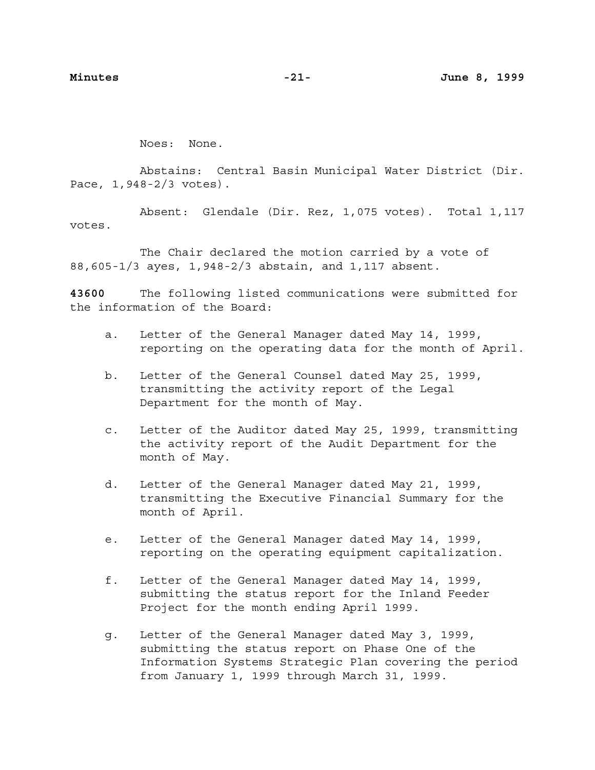Noes: None.

Abstains: Central Basin Municipal Water District (Dir. Pace, 1,948-2/3 votes).

Absent: Glendale (Dir. Rez, 1,075 votes). Total 1,117 votes.

The Chair declared the motion carried by a vote of 88,605-1/3 ayes, 1,948-2/3 abstain, and 1,117 absent.

**43600** The following listed communications were submitted for the information of the Board:

- a. Letter of the General Manager dated May 14, 1999, reporting on the operating data for the month of April.
- b. Letter of the General Counsel dated May 25, 1999, transmitting the activity report of the Legal Department for the month of May.
- c. Letter of the Auditor dated May 25, 1999, transmitting the activity report of the Audit Department for the month of May.
- d. Letter of the General Manager dated May 21, 1999, transmitting the Executive Financial Summary for the month of April.
- e. Letter of the General Manager dated May 14, 1999, reporting on the operating equipment capitalization.
- f. Letter of the General Manager dated May 14, 1999, submitting the status report for the Inland Feeder Project for the month ending April 1999.
- g. Letter of the General Manager dated May 3, 1999, submitting the status report on Phase One of the Information Systems Strategic Plan covering the period from January 1, 1999 through March 31, 1999.